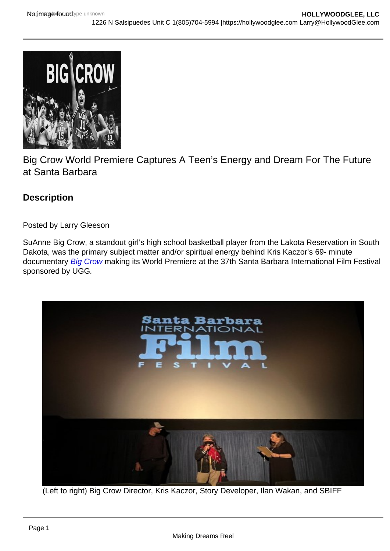## Big Crow World Premiere Captures A Teen's Energy and Dream For The Future at Santa Barbara

**Description** 

Posted by Larry Gleeson

SuAnne Big Crow, a standout girl's high school basketball player from the Lakota Reservation in South Dakota, was the primary subject matter and/or spiritual energy behind Kris Kaczor's 69- minute documentary [Big Crow m](https://www.imdb.com/title/tt18224576/?ref_=nv_sr_srsg_0)aking its World Premiere at the 37th Santa Barbara International Film Festival sponsored by UGG.

(Left to right) Big Crow Director, Kris Kaczor, Story Developer, Ilan Wakan, and SBIFF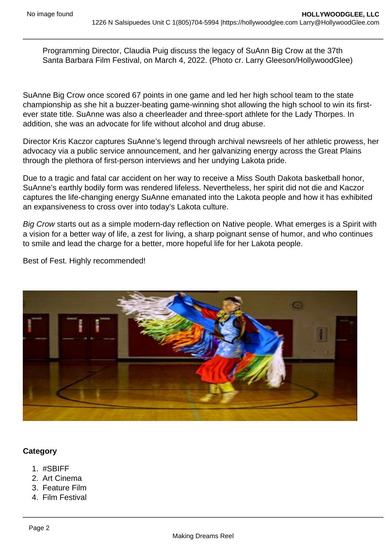Programming Director, Claudia Puig discuss the legacy of SuAnn Big Crow at the 37th Santa Barbara Film Festival, on March 4, 2022. (Photo cr. Larry Gleeson/HollywoodGlee)

SuAnne Big Crow once scored 67 points in one game and led her high school team to the state championship as she hit a buzzer-beating game-winning shot allowing the high school to win its firstever state title. SuAnne was also a cheerleader and three-sport athlete for the Lady Thorpes. In addition, she was an advocate for life without alcohol and drug abuse.

Director Kris Kaczor captures SuAnne's legend through archival newsreels of her athletic prowess, her advocacy via a public service announcement, and her galvanizing energy across the Great Plains through the plethora of first-person interviews and her undying Lakota pride.

Due to a tragic and fatal car accident on her way to receive a Miss South Dakota basketball honor, SuAnne's earthly bodily form was rendered lifeless. Nevertheless, her spirit did not die and Kaczor captures the life-changing energy SuAnne emanated into the Lakota people and how it has exhibited an expansiveness to cross over into today's Lakota culture.

Big Crow starts out as a simple modern-day reflection on Native people. What emerges is a Spirit with a vision for a better way of life, a zest for living, a sharp poignant sense of humor, and who continues to smile and lead the charge for a better, more hopeful life for her Lakota people.

Best of Fest. Highly recommended!

**Category** 

- 1. #SBIFF
- 2. Art Cinema
- 3. Feature Film
- 4. Film Festival